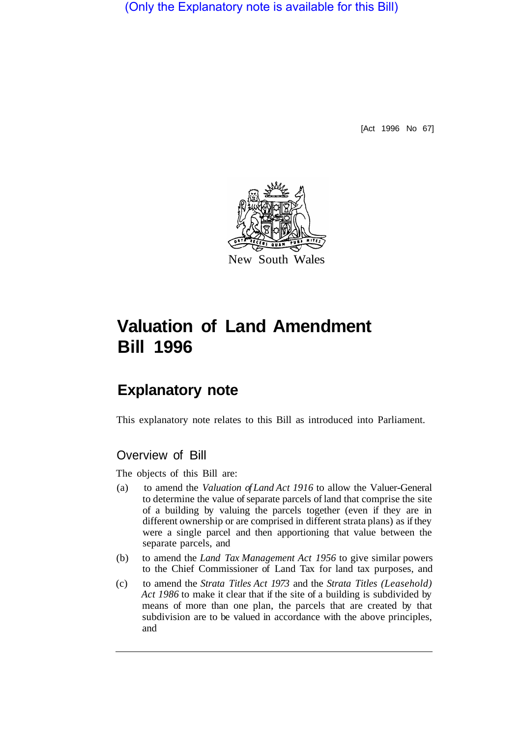(Only the Explanatory note is available for this Bill)

[Act 1996 No 67]



# **Valuation of Land Amendment Bill 1996**

## **Explanatory note**

This explanatory note relates to this Bill as introduced into Parliament.

### Overview of Bill

The objects of this Bill are:

- (a) to amend the *Valuation of Land Act 1916* to allow the Valuer-General to determine the value of separate parcels of land that comprise the site of a building by valuing the parcels together (even if they are in different ownership or are comprised in different strata plans) as if they were a single parcel and then apportioning that value between the separate parcels, and
- (b) to amend the *Land Tax Management Act 1956* to give similar powers to the Chief Commissioner of Land Tax for land tax purposes, and
- (c) to amend the *Strata Titles Act 1973* and the *Strata Titles (Leasehold) Act 1986* to make it clear that if the site of a building is subdivided by means of more than one plan, the parcels that are created by that subdivision are to be valued in accordance with the above principles, and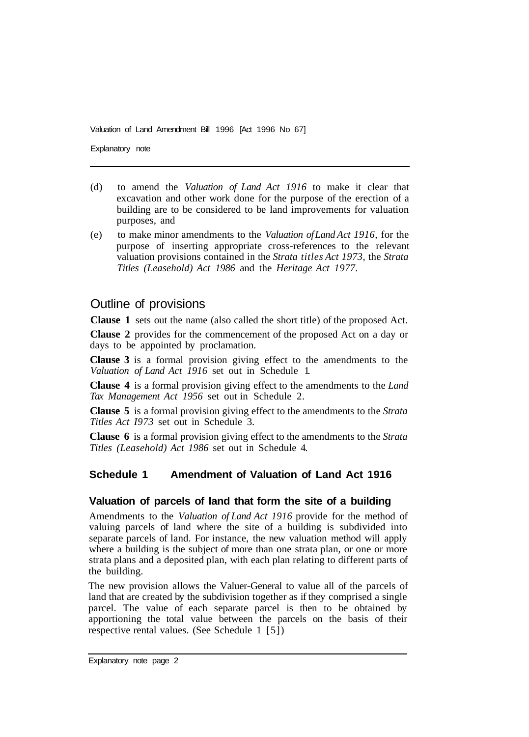Valuation of Land Amendment Bill 1996 [Act 1996 No 67]

Explanatory note

- (d) to amend the *Valuation of Land Act 1916* to make it clear that excavation and other work done for the purpose of the erection of a building are to be considered to be land improvements for valuation purposes, and
- (e) to make minor amendments to the *Valuation of Land Act 1916,* for the purpose of inserting appropriate cross-references to the relevant valuation provisions contained in the *Strata titles Act 1973,* the *Strata Titles (Leasehold) Act 1986* and the *Heritage Act 1977.*

#### Outline of provisions

**Clause 1** sets out the name (also called the short title) of the proposed Act.

**Clause 2** provides for the commencement of the proposed Act on a day or days to be appointed by proclamation.

**Clause 3** is a formal provision giving effect to the amendments to the *Valuation of Land Act 1916* set out in Schedule 1.

**Clause 4** is a formal provision giving effect to the amendments to the *Land Tax Management Act 1956* set out in Schedule 2.

**Clause 5** is a formal provision giving effect to the amendments to the *Strata Titles Act I973* set out in Schedule 3.

**Clause 6** is a formal provision giving effect to the amendments to the *Strata Titles (Leasehold) Act 1986* set out in Schedule 4.

#### **Schedule 1 Amendment of Valuation of Land Act 1916**

#### **Valuation of parcels of land that form the site of a building**

Amendments to the *Valuation of Land Act 1916* provide for the method of valuing parcels of land where the site of a building is subdivided into separate parcels of land. For instance, the new valuation method will apply where a building is the subject of more than one strata plan, or one or more strata plans and a deposited plan, with each plan relating to different parts of the building.

The new provision allows the Valuer-General to value all of the parcels of land that are created by the subdivision together as if they comprised a single parcel. The value of each separate parcel is then to be obtained by apportioning the total value between the parcels on the basis of their respective rental values. (See Schedule 1 [5])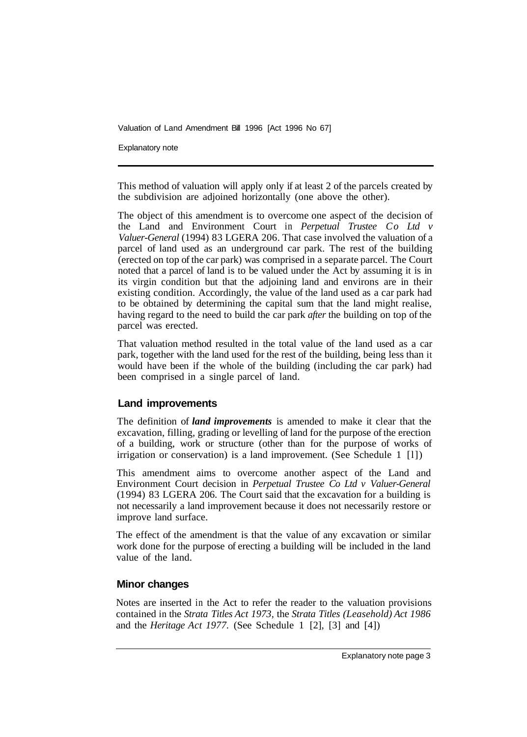Valuation of Land Amendment Bill 1996 [Act 1996 No 67]

Explanatory note

This method of valuation will apply only if at least 2 of the parcels created by the subdivision are adjoined horizontally (one above the other).

The object of this amendment is to overcome one aspect of the decision of the Land and Environment Court in *Perpetual Trustee Co Ltd v Valuer-General* (1994) 83 LGERA 206. That case involved the valuation of a parcel of land used as an underground car park. The rest of the building (erected on top of the car park) was comprised in a separate parcel. The Court noted that a parcel of land is to be valued under the Act by assuming it is in its virgin condition but that the adjoining land and environs are in their existing condition. Accordingly, the value of the land used as a car park had to be obtained by determining the capital sum that the land might realise, having regard to the need to build the car park *after* the building on top of the parcel was erected.

That valuation method resulted in the total value of the land used as a car park, together with the land used for the rest of the building, being less than it would have been if the whole of the building (including the car park) had been comprised in a single parcel of land.

#### **Land improvements**

The definition of *land improvements* is amended to make it clear that the excavation, filling, grading or levelling of land for the purpose of the erection of a building, work or structure (other than for the purpose of works of irrigation or conservation) is a land improvement. (See Schedule 1 [l])

This amendment aims to overcome another aspect of the Land and Environment Court decision in *Perpetual Trustee Co Ltd v Valuer-General*  (1 994) 83 LGERA 206. The Court said that the excavation for a building is not necessarily a land improvement because it does not necessarily restore or improve land surface.

The effect of the amendment is that the value of any excavation or similar work done for the purpose of erecting a building will be included in the land value of the land.

#### **Minor changes**

Notes are inserted in the Act to refer the reader to the valuation provisions contained in the *Strata Titles Act 1973,* the *Strata Titles (Leasehold) Act 1986*  and the *Heritage Act 1977.* (See Schedule 1 [2], [3] and [4])